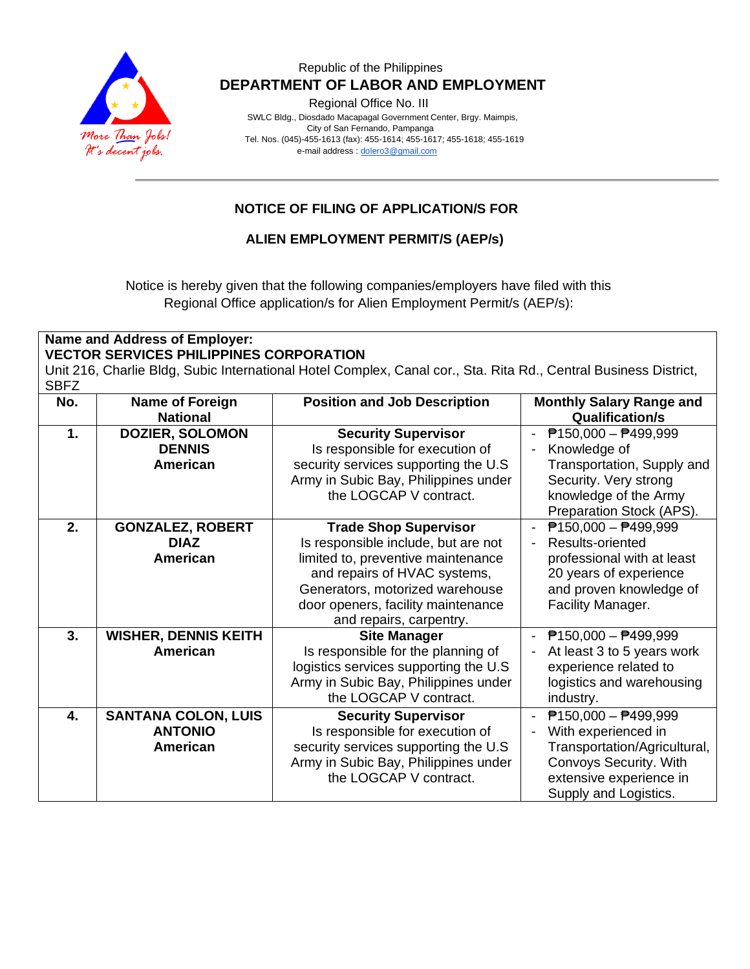

Regional Office No. III

 SWLC Bldg., Diosdado Macapagal Government Center, Brgy. Maimpis, City of San Fernando, Pampanga Tel. Nos. (045)-455-1613 (fax): 455-1614; 455-1617; 455-1618; 455-1619 e-mail address [: dolero3@gmail.com](mailto:dolero3@gmail.com)

## **NOTICE OF FILING OF APPLICATION/S FOR**

#### **ALIEN EMPLOYMENT PERMIT/S (AEP/s)**

Notice is hereby given that the following companies/employers have filed with this Regional Office application/s for Alien Employment Permit/s (AEP/s):

#### **Name and Address of Employer: VECTOR SERVICES PHILIPPINES CORPORATION**

Unit 216, Charlie Bldg, Subic International Hotel Complex, Canal cor., Sta. Rita Rd., Central Business District, SBFZ

| No. | <b>Name of Foreign</b><br><b>National</b>                       | <b>Position and Job Description</b>                                                                                                                                                                                                           | <b>Monthly Salary Range and</b><br><b>Qualification/s</b>                                                                                                                                           |
|-----|-----------------------------------------------------------------|-----------------------------------------------------------------------------------------------------------------------------------------------------------------------------------------------------------------------------------------------|-----------------------------------------------------------------------------------------------------------------------------------------------------------------------------------------------------|
| 1.  | <b>DOZIER, SOLOMON</b><br><b>DENNIS</b><br><b>American</b>      | <b>Security Supervisor</b><br>Is responsible for execution of<br>security services supporting the U.S.<br>Army in Subic Bay, Philippines under<br>the LOGCAP V contract.                                                                      | $P$ 150,000 - $P$ 499,999<br>$\overline{\phantom{a}}$<br>Knowledge of<br>$\overline{a}$<br>Transportation, Supply and<br>Security. Very strong<br>knowledge of the Army<br>Preparation Stock (APS). |
| 2.  | <b>GONZALEZ, ROBERT</b><br><b>DIAZ</b><br><b>American</b>       | <b>Trade Shop Supervisor</b><br>Is responsible include, but are not<br>limited to, preventive maintenance<br>and repairs of HVAC systems,<br>Generators, motorized warehouse<br>door openers, facility maintenance<br>and repairs, carpentry. | $P$ 150,000 - $P$ 499,999<br>Results-oriented<br>$\overline{a}$<br>professional with at least<br>20 years of experience<br>and proven knowledge of<br>Facility Manager.                             |
| 3.  | <b>WISHER, DENNIS KEITH</b><br><b>American</b>                  | <b>Site Manager</b><br>Is responsible for the planning of<br>logistics services supporting the U.S.<br>Army in Subic Bay, Philippines under<br>the LOGCAP V contract.                                                                         | $P$ 150,000 - $P$ 499,999<br>At least 3 to 5 years work<br>experience related to<br>logistics and warehousing<br>industry.                                                                          |
| 4.  | <b>SANTANA COLON, LUIS</b><br><b>ANTONIO</b><br><b>American</b> | <b>Security Supervisor</b><br>Is responsible for execution of<br>security services supporting the U.S.<br>Army in Subic Bay, Philippines under<br>the LOGCAP V contract.                                                                      | $P$ 150,000 - $P$ 499,999<br>$\blacksquare$<br>With experienced in<br>Ĭ.<br>Transportation/Agricultural,<br>Convoys Security. With<br>extensive experience in<br>Supply and Logistics.              |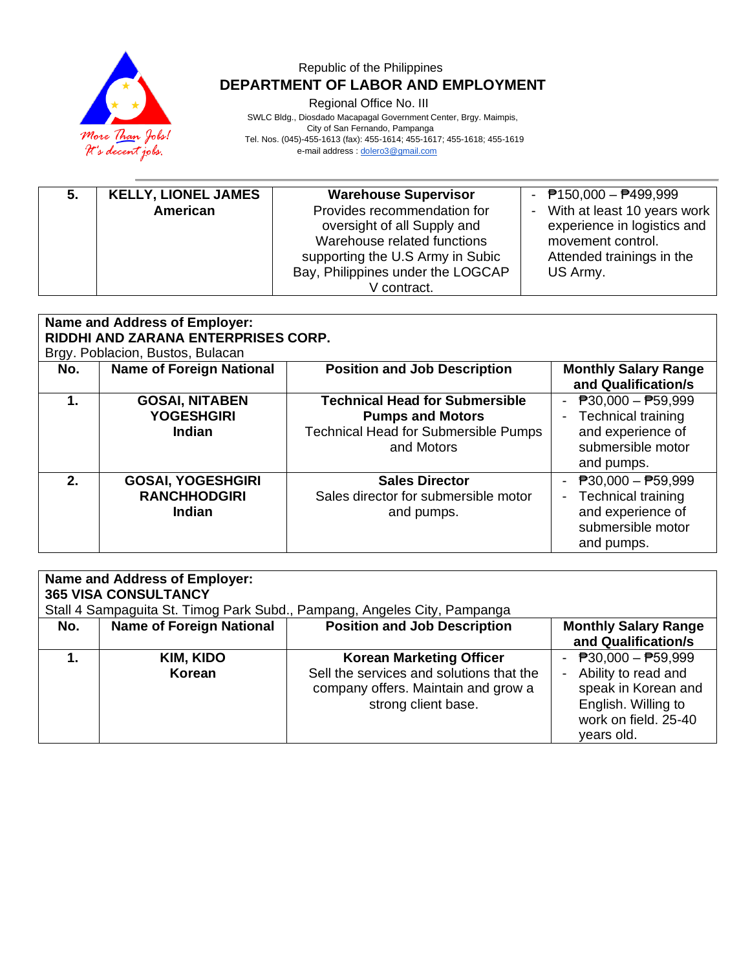

Regional Office No. III

 SWLC Bldg., Diosdado Macapagal Government Center, Brgy. Maimpis, City of San Fernando, Pampanga Tel. Nos. (045)-455-1613 (fax): 455-1614; 455-1617; 455-1618; 455-1619 e-mail address [: dolero3@gmail.com](mailto:dolero3@gmail.com)

| 5. | <b>KELLY, LIONEL JAMES</b> | <b>Warehouse Supervisor</b>       | - $P$ 150,000 - $P$ 499,999 |
|----|----------------------------|-----------------------------------|-----------------------------|
|    | American                   | Provides recommendation for       | With at least 10 years work |
|    |                            | oversight of all Supply and       | experience in logistics and |
|    |                            | Warehouse related functions       | movement control.           |
|    |                            | supporting the U.S Army in Subic  | Attended trainings in the   |
|    |                            | Bay, Philippines under the LOGCAP | US Army.                    |
|    |                            | V contract.                       |                             |

| <b>Name and Address of Employer:</b><br>RIDDHI AND ZARANA ENTERPRISES CORP.<br>Brgy. Poblacion, Bustos, Bulacan |                                                           |                                                                                                                               |                                                                                                          |  |
|-----------------------------------------------------------------------------------------------------------------|-----------------------------------------------------------|-------------------------------------------------------------------------------------------------------------------------------|----------------------------------------------------------------------------------------------------------|--|
| No.                                                                                                             | <b>Name of Foreign National</b>                           | <b>Position and Job Description</b>                                                                                           | <b>Monthly Salary Range</b><br>and Qualification/s                                                       |  |
| 1.                                                                                                              | <b>GOSAI, NITABEN</b><br><b>YOGESHGIRI</b><br>Indian      | <b>Technical Head for Submersible</b><br><b>Pumps and Motors</b><br><b>Technical Head for Submersible Pumps</b><br>and Motors | $P30,000 - P59,999$<br><b>Technical training</b><br>and experience of<br>submersible motor<br>and pumps. |  |
| $2-$                                                                                                            | <b>GOSAI, YOGESHGIRI</b><br><b>RANCHHODGIRI</b><br>Indian | <b>Sales Director</b><br>Sales director for submersible motor<br>and pumps.                                                   | $P30,000 - P59,999$<br><b>Technical training</b><br>and experience of<br>submersible motor<br>and pumps. |  |

| Name and Address of Employer:<br><b>365 VISA CONSULTANCY</b><br>Stall 4 Sampaguita St. Timog Park Subd., Pampang, Angeles City, Pampanga |                                 |                                                                                                                                           |                                                                                                                                    |  |
|------------------------------------------------------------------------------------------------------------------------------------------|---------------------------------|-------------------------------------------------------------------------------------------------------------------------------------------|------------------------------------------------------------------------------------------------------------------------------------|--|
| No.                                                                                                                                      | <b>Name of Foreign National</b> | <b>Position and Job Description</b>                                                                                                       | <b>Monthly Salary Range</b><br>and Qualification/s                                                                                 |  |
|                                                                                                                                          | KIM, KIDO<br>Korean             | <b>Korean Marketing Officer</b><br>Sell the services and solutions that the<br>company offers. Maintain and grow a<br>strong client base. | - $P30,000 - P59,999$<br>- Ability to read and<br>speak in Korean and<br>English. Willing to<br>work on field, 25-40<br>vears old. |  |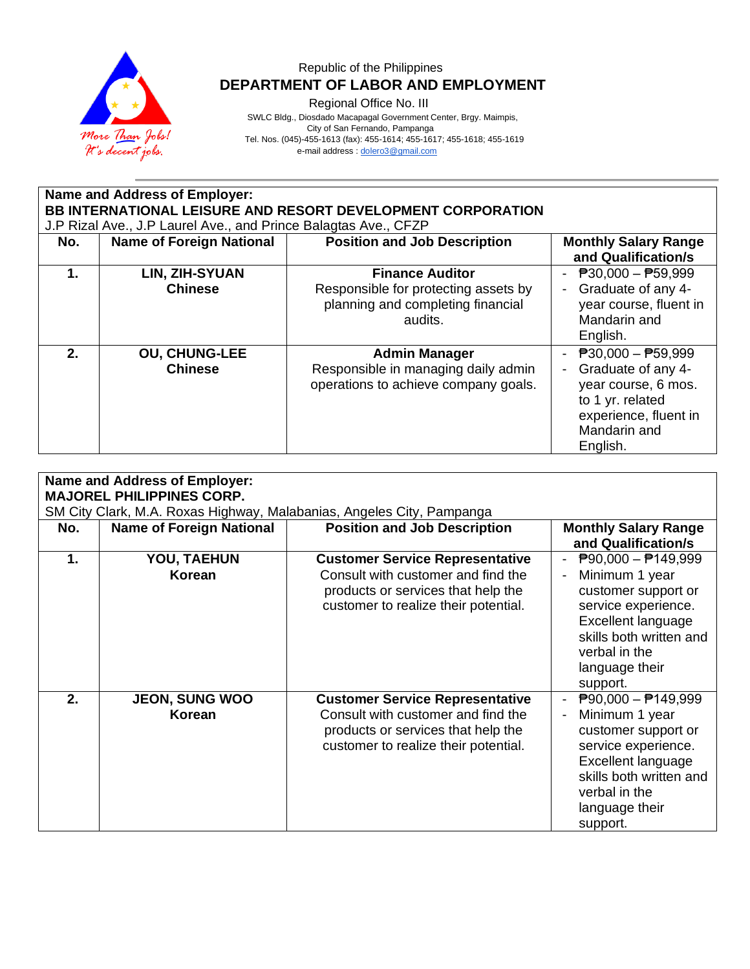

Regional Office No. III

 SWLC Bldg., Diosdado Macapagal Government Center, Brgy. Maimpis, City of San Fernando, Pampanga

Tel. Nos. (045)-455-1613 (fax): 455-1614; 455-1617; 455-1618; 455-1619

e-mail address [: dolero3@gmail.com](mailto:dolero3@gmail.com)

| Name and Address of Employer:<br><b>BB INTERNATIONAL LEISURE AND RESORT DEVELOPMENT CORPORATION</b> |                                                                 |                                                                                                                |                                                                                                                                                                 |  |
|-----------------------------------------------------------------------------------------------------|-----------------------------------------------------------------|----------------------------------------------------------------------------------------------------------------|-----------------------------------------------------------------------------------------------------------------------------------------------------------------|--|
|                                                                                                     | J.P Rizal Ave., J.P Laurel Ave., and Prince Balagtas Ave., CFZP |                                                                                                                |                                                                                                                                                                 |  |
| No.                                                                                                 | <b>Name of Foreign National</b>                                 | <b>Position and Job Description</b>                                                                            | <b>Monthly Salary Range</b><br>and Qualification/s                                                                                                              |  |
| 1.                                                                                                  | LIN, ZIH-SYUAN<br><b>Chinese</b>                                | <b>Finance Auditor</b><br>Responsible for protecting assets by<br>planning and completing financial<br>audits. | $\overline{P}30,000 - \overline{P}59,999$<br>Graduate of any 4-<br>year course, fluent in<br>Mandarin and<br>English.                                           |  |
| 2 <sub>1</sub>                                                                                      | <b>OU, CHUNG-LEE</b><br><b>Chinese</b>                          | <b>Admin Manager</b><br>Responsible in managing daily admin<br>operations to achieve company goals.            | $\overline{P}30,000 - \overline{P}59,999$<br>Graduate of any 4-<br>year course, 6 mos.<br>to 1 yr. related<br>experience, fluent in<br>Mandarin and<br>English. |  |

| <b>Name and Address of Employer:</b><br><b>MAJOREL PHILIPPINES CORP.</b> |                                 |                                                                                                                                                            |                                                                                                                                                                                                            |  |
|--------------------------------------------------------------------------|---------------------------------|------------------------------------------------------------------------------------------------------------------------------------------------------------|------------------------------------------------------------------------------------------------------------------------------------------------------------------------------------------------------------|--|
|                                                                          |                                 | SM City Clark, M.A. Roxas Highway, Malabanias, Angeles City, Pampanga                                                                                      |                                                                                                                                                                                                            |  |
| No.                                                                      | <b>Name of Foreign National</b> | <b>Position and Job Description</b>                                                                                                                        | <b>Monthly Salary Range</b><br>and Qualification/s                                                                                                                                                         |  |
| 1.                                                                       | YOU, TAEHUN<br>Korean           | <b>Customer Service Representative</b><br>Consult with customer and find the<br>products or services that help the<br>customer to realize their potential. | $\overline{P}90,000 - \overline{P}149,999$<br>Minimum 1 year<br>customer support or<br>service experience.<br>Excellent language<br>skills both written and<br>verbal in the<br>language their<br>support. |  |
| 2.                                                                       | <b>JEON, SUNG WOO</b><br>Korean | <b>Customer Service Representative</b><br>Consult with customer and find the<br>products or services that help the<br>customer to realize their potential. | $P90,000 - P149,999$<br>Minimum 1 year<br>customer support or<br>service experience.<br>Excellent language<br>skills both written and<br>verbal in the<br>language their<br>support.                       |  |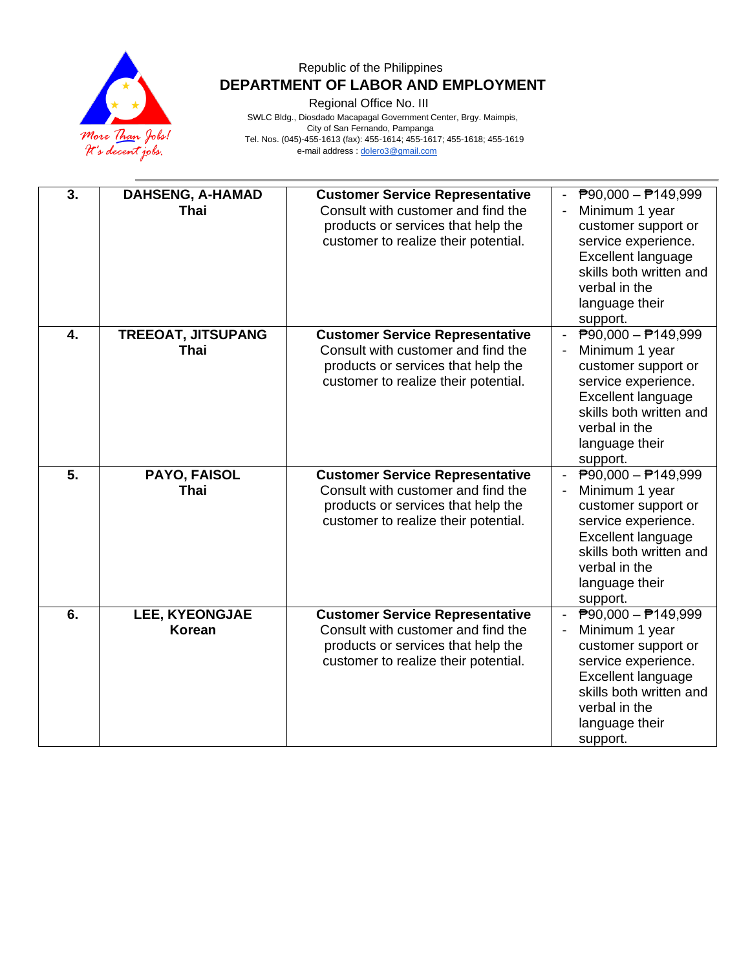

Regional Office No. III

 SWLC Bldg., Diosdado Macapagal Government Center, Brgy. Maimpis, City of San Fernando, Pampanga Tel. Nos. (045)-455-1613 (fax): 455-1614; 455-1617; 455-1618; 455-1619 e-mail address [: dolero3@gmail.com](mailto:dolero3@gmail.com)

| 3.               | <b>DAHSENG, A-HAMAD</b><br><b>Thai</b>   | <b>Customer Service Representative</b><br>Consult with customer and find the<br>products or services that help the<br>customer to realize their potential. | $\overline{P}90,000 - \overline{P}149,999$<br>Minimum 1 year<br>customer support or<br>service experience.<br>Excellent language<br>skills both written and<br>verbal in the<br>language their<br>support.        |
|------------------|------------------------------------------|------------------------------------------------------------------------------------------------------------------------------------------------------------|-------------------------------------------------------------------------------------------------------------------------------------------------------------------------------------------------------------------|
| $\overline{4}$ . | <b>TREEOAT, JITSUPANG</b><br><b>Thai</b> | <b>Customer Service Representative</b><br>Consult with customer and find the<br>products or services that help the<br>customer to realize their potential. | $\overline{P}90,000 - \overline{P}149,999$<br>Minimum 1 year<br>customer support or<br>service experience.<br><b>Excellent language</b><br>skills both written and<br>verbal in the<br>language their<br>support. |
| $\overline{5}$ . | PAYO, FAISOL<br>Thai                     | <b>Customer Service Representative</b><br>Consult with customer and find the<br>products or services that help the<br>customer to realize their potential. | $\overline{P}90,000 - \overline{P}149,999$<br>Minimum 1 year<br>customer support or<br>service experience.<br>Excellent language<br>skills both written and<br>verbal in the<br>language their<br>support.        |
| 6.               | LEE, KYEONGJAE<br>Korean                 | <b>Customer Service Representative</b><br>Consult with customer and find the<br>products or services that help the<br>customer to realize their potential. | $\overline{P}90,000 - \overline{P}149,999$<br>Minimum 1 year<br>customer support or<br>service experience.<br>Excellent language<br>skills both written and<br>verbal in the<br>language their<br>support.        |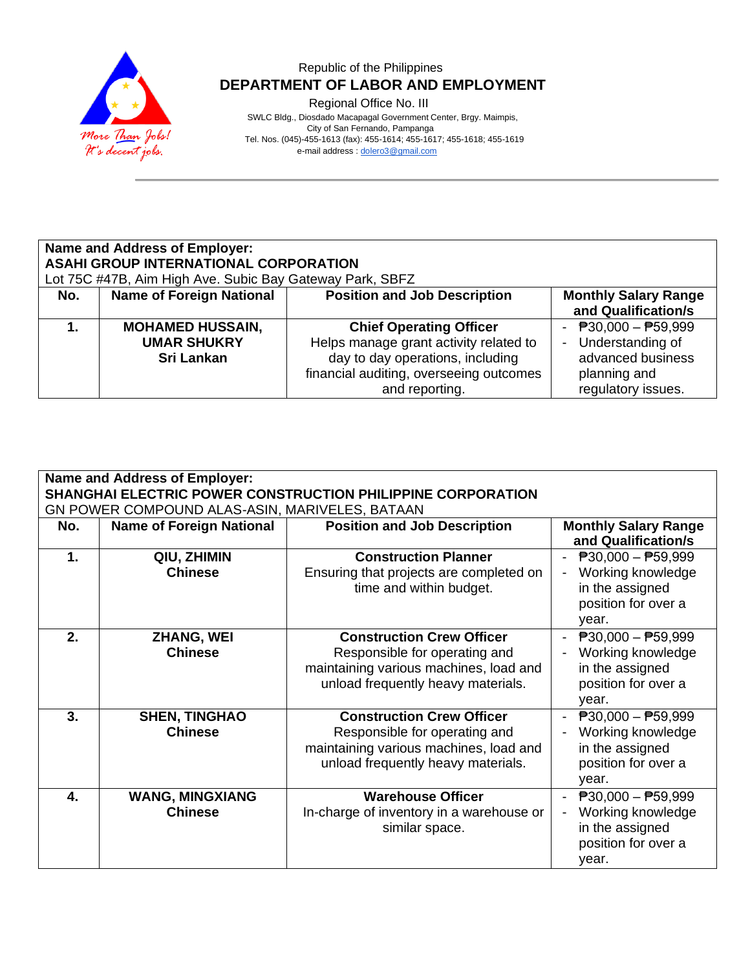

Regional Office No. III

 SWLC Bldg., Diosdado Macapagal Government Center, Brgy. Maimpis, City of San Fernando, Pampanga Tel. Nos. (045)-455-1613 (fax): 455-1614; 455-1617; 455-1618; 455-1619 e-mail address [: dolero3@gmail.com](mailto:dolero3@gmail.com)

#### **Name and Address of Employer: ASAHI GROUP INTERNATIONAL CORPORATION** Lot 75C #47B, Aim High Ave. Subic Bay Gateway Park, SBFZ **No. Name of Foreign National Position and Job Description | Monthly Salary Range and Qualification/s 1. MOHAMED HUSSAIN, UMAR SHUKRY Sri Lankan Chief Operating Officer** Helps manage grant activity related to day to day operations, including financial auditing, overseeing outcomes and reporting.  $\overline{P}30,000 - \overline{P}59,999$ - Understanding of advanced business planning and regulatory issues.

| Name and Address of Employer:<br>SHANGHAI ELECTRIC POWER CONSTRUCTION PHILIPPINE CORPORATION<br>GN POWER COMPOUND ALAS-ASIN, MARIVELES, BATAAN |                                          |                                                                                                                                                   |                                                                                                                   |  |
|------------------------------------------------------------------------------------------------------------------------------------------------|------------------------------------------|---------------------------------------------------------------------------------------------------------------------------------------------------|-------------------------------------------------------------------------------------------------------------------|--|
| No.                                                                                                                                            | <b>Name of Foreign National</b>          | <b>Position and Job Description</b>                                                                                                               | <b>Monthly Salary Range</b><br>and Qualification/s                                                                |  |
| $\mathbf 1$ .                                                                                                                                  | QIU, ZHIMIN<br><b>Chinese</b>            | <b>Construction Planner</b><br>Ensuring that projects are completed on<br>time and within budget.                                                 | $P30,000 - P59,999$<br>Working knowledge<br>in the assigned<br>position for over a<br>year.                       |  |
| 2.                                                                                                                                             | <b>ZHANG, WEI</b><br><b>Chinese</b>      | <b>Construction Crew Officer</b><br>Responsible for operating and<br>maintaining various machines, load and<br>unload frequently heavy materials. | $\overline{P}30,000 - \overline{P}59,999$<br>Working knowledge<br>in the assigned<br>position for over a<br>year. |  |
| 3.                                                                                                                                             | <b>SHEN, TINGHAO</b><br><b>Chinese</b>   | <b>Construction Crew Officer</b><br>Responsible for operating and<br>maintaining various machines, load and<br>unload frequently heavy materials. | $P30,000 - P59,999$<br>Working knowledge<br>in the assigned<br>position for over a<br>year.                       |  |
| 4.                                                                                                                                             | <b>WANG, MINGXIANG</b><br><b>Chinese</b> | <b>Warehouse Officer</b><br>In-charge of inventory in a warehouse or<br>similar space.                                                            | $\overline{P}30,000 - \overline{P}59,999$<br>Working knowledge<br>in the assigned<br>position for over a<br>year. |  |